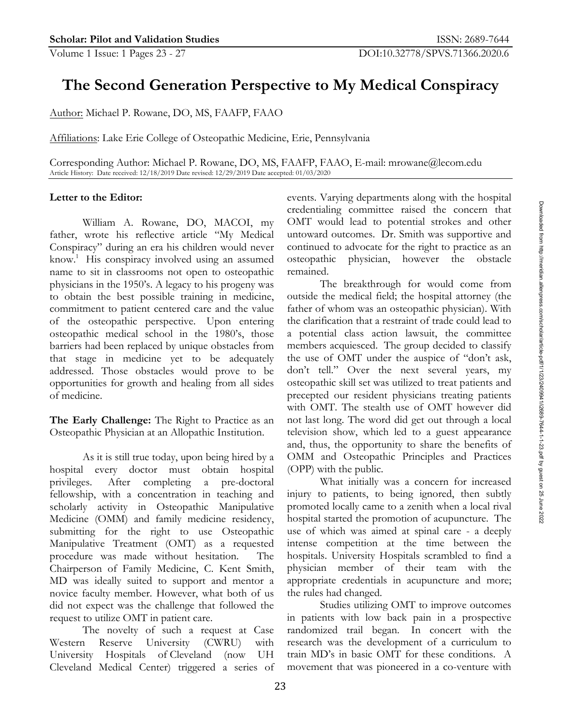# **The Second Generation Perspective to My Medical Conspiracy**

Author: Michael P. Rowane, DO, MS, FAAFP, FAAO

Affiliations: Lake Erie College of Osteopathic Medicine, Erie, Pennsylvania

Corresponding Author: Michael P. Rowane, DO, MS, FAAFP, FAAO, E-mail: mrowane@lecom.edu Article History: Date received: 12/18/2019 Date revised: 12/29/2019 Date accepted: 01/03/2020

### **Letter to the Editor:**

William A. Rowane, DO, MACOI, my father, wrote his reflective article "My Medical Conspiracy" during an era his children would never know.1 His conspiracy involved using an assumed name to sit in classrooms not open to osteopathic physicians in the 1950's. A legacy to his progeny was to obtain the best possible training in medicine, commitment to patient centered care and the value of the osteopathic perspective. Upon entering osteopathic medical school in the 1980's, those barriers had been replaced by unique obstacles from that stage in medicine yet to be adequately addressed. Those obstacles would prove to be opportunities for growth and healing from all sides of medicine.

**The Early Challenge:** The Right to Practice as an Osteopathic Physician at an Allopathic Institution.

As it is still true today, upon being hired by a hospital every doctor must obtain hospital privileges. After completing a pre-doctoral fellowship, with a concentration in teaching and scholarly activity in Osteopathic Manipulative Medicine (OMM) and family medicine residency, submitting for the right to use Osteopathic Manipulative Treatment (OMT) as a requested procedure was made without hesitation. The Chairperson of Family Medicine, C. Kent Smith, MD was ideally suited to support and mentor a novice faculty member. However, what both of us did not expect was the challenge that followed the request to utilize OMT in patient care.

The novelty of such a request at Case Western Reserve University (CWRU) with University Hospitals of Cleveland (now UH Cleveland Medical Center) triggered a series of events. Varying departments along with the hospital credentialing committee raised the concern that OMT would lead to potential strokes and other untoward outcomes. Dr. Smith was supportive and continued to advocate for the right to practice as an osteopathic physician, however the obstacle remained.

The breakthrough for would come from outside the medical field; the hospital attorney (the father of whom was an osteopathic physician). With the clarification that a restraint of trade could lead to a potential class action lawsuit, the committee members acquiesced. The group decided to classify the use of OMT under the auspice of "don't ask, don't tell." Over the next several years, my osteopathic skill set was utilized to treat patients and precepted our resident physicians treating patients with OMT. The stealth use of OMT however did not last long. The word did get out through a local television show, which led to a guest appearance and, thus, the opportunity to share the benefits of OMM and Osteopathic Principles and Practices (OPP) with the public.

What initially was a concern for increased injury to patients, to being ignored, then subtly promoted locally came to a zenith when a local rival hospital started the promotion of acupuncture. The use of which was aimed at spinal care - a deeply intense competition at the time between the hospitals. University Hospitals scrambled to find a physician member of their team with the appropriate credentials in acupuncture and more; the rules had changed.

Studies utilizing OMT to improve outcomes in patients with low back pain in a prospective randomized trail began. In concert with the research was the development of a curriculum to train MD's in basic OMT for these conditions. A movement that was pioneered in a co-venture with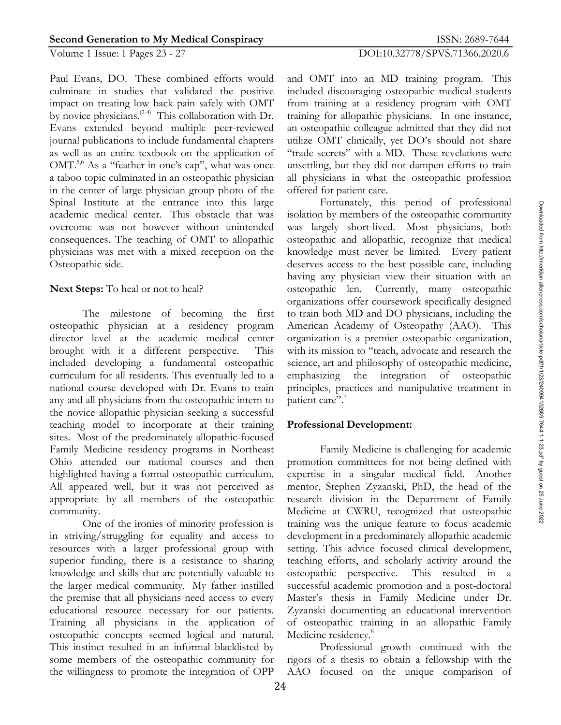## Volume 1 Issue: 1 Pages 23 - 27 DOI:10.32778/SPVS.71366.2020.6

Paul Evans, DO. These combined efforts would culminate in studies that validated the positive impact on treating low back pain safely with OMT by novice physicians.<sup>(2-4)</sup> This collaboration with Dr. Evans extended beyond multiple peer-reviewed journal publications to include fundamental chapters as well as an entire textbook on the application of OMT.<sup>5,6</sup> As a "feather in one's cap", what was once a taboo topic culminated in an osteopathic physician in the center of large physician group photo of the Spinal Institute at the entrance into this large academic medical center. This obstacle that was overcome was not however without unintended consequences. The teaching of OMT to allopathic physicians was met with a mixed reception on the Osteopathic side.

## **Next Steps:** To heal or not to heal?

The milestone of becoming the first osteopathic physician at a residency program director level at the academic medical center brought with it a different perspective. This included developing a fundamental osteopathic curriculum for all residents. This eventually led to a national course developed with Dr. Evans to train any and all physicians from the osteopathic intern to the novice allopathic physician seeking a successful teaching model to incorporate at their training sites. Most of the predominately allopathic-focused Family Medicine residency programs in Northeast Ohio attended our national courses and then highlighted having a formal osteopathic curriculum. All appeared well, but it was not perceived as appropriate by all members of the osteopathic community.

One of the ironies of minority profession is in striving/struggling for equality and access to resources with a larger professional group with superior funding, there is a resistance to sharing knowledge and skills that are potentially valuable to the larger medical community. My father instilled the premise that all physicians need access to every educational resource necessary for our patients. Training all physicians in the application of osteopathic concepts seemed logical and natural. This instinct resulted in an informal blacklisted by some members of the osteopathic community for the willingness to promote the integration of OPP and OMT into an MD training program. This included discouraging osteopathic medical students from training at a residency program with OMT training for allopathic physicians. In one instance, an osteopathic colleague admitted that they did not utilize OMT clinically, yet DO's should not share "trade secrets" with a MD. These revelations were unsettling, but they did not dampen efforts to train all physicians in what the osteopathic profession offered for patient care.

Fortunately, this period of professional isolation by members of the osteopathic community was largely short-lived. Most physicians, both osteopathic and allopathic, recognize that medical knowledge must never be limited. Every patient deserves access to the best possible care, including having any physician view their situation with an osteopathic len. Currently, many osteopathic organizations offer coursework specifically designed to train both MD and DO physicians, including the American Academy of Osteopathy (AAO). This organization is a premier osteopathic organization, with its mission to "teach, advocate and research the science, art and philosophy of osteopathic medicine, emphasizing the integration of osteopathic principles, practices and manipulative treatment in patient care".<sup>7</sup>

## **Professional Development:**

Family Medicine is challenging for academic promotion committees for not being defined with expertise in a singular medical field. Another mentor, Stephen Zyzanski, PhD, the head of the research division in the Department of Family Medicine at CWRU, recognized that osteopathic training was the unique feature to focus academic development in a predominately allopathic academic setting. This advice focused clinical development, teaching efforts, and scholarly activity around the osteopathic perspective. This resulted in a successful academic promotion and a post-doctoral Master's thesis in Family Medicine under Dr. Zyzanski documenting an educational intervention of osteopathic training in an allopathic Family Medicine residency.<sup>8</sup>

Professional growth continued with the rigors of a thesis to obtain a fellowship with the AAO focused on the unique comparison of

24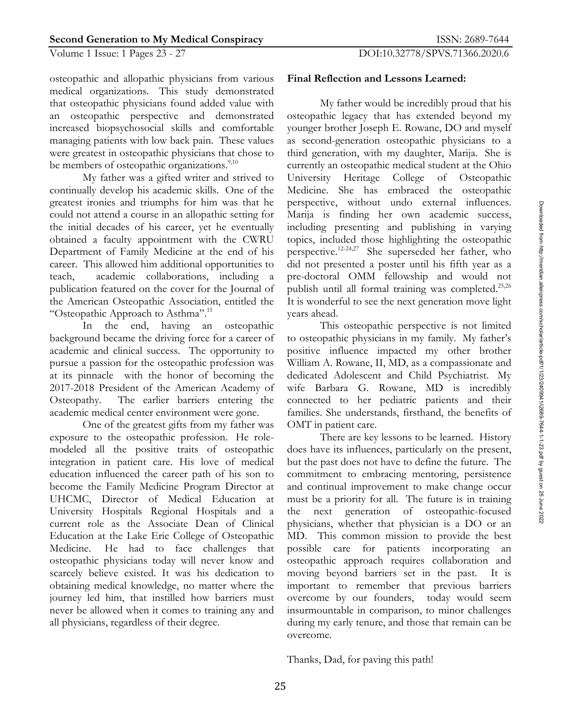## Volume 1 Issue: 1 Pages 23 - 27 DOI:10.32778/SPVS.71366.2020.6

osteopathic and allopathic physicians from various medical organizations. This study demonstrated that osteopathic physicians found added value with an osteopathic perspective and demonstrated increased biopsychosocial skills and comfortable managing patients with low back pain. These values were greatest in osteopathic physicians that chose to be members of osteopathic organizations.<sup>9,10</sup>

My father was a gifted writer and strived to continually develop his academic skills. One of the greatest ironies and triumphs for him was that he could not attend a course in an allopathic setting for the initial decades of his career, yet he eventually obtained a faculty appointment with the CWRU Department of Family Medicine at the end of his career. This allowed him additional opportunities to teach, academic collaborations, including a publication featured on the cover for the Journal of the American Osteopathic Association, entitled the "Osteopathic Approach to Asthma".<sup>11</sup>

In the end, having an osteopathic background became the driving force for a career of academic and clinical success. The opportunity to pursue a passion for the osteopathic profession was at its pinnacle with the honor of becoming the 2017-2018 President of the American Academy of Osteopathy. The earlier barriers entering the academic medical center environment were gone.

One of the greatest gifts from my father was exposure to the osteopathic profession. He rolemodeled all the positive traits of osteopathic integration in patient care. His love of medical education influenced the career path of his son to become the Family Medicine Program Director at UHCMC, Director of Medical Education at University Hospitals Regional Hospitals and a current role as the Associate Dean of Clinical Education at the Lake Erie College of Osteopathic Medicine. He had to face challenges that osteopathic physicians today will never know and scarcely believe existed. It was his dedication to obtaining medical knowledge, no matter where the journey led him, that instilled how barriers must never be allowed when it comes to training any and all physicians, regardless of their degree.

#### **Final Reflection and Lessons Learned:**

My father would be incredibly proud that his osteopathic legacy that has extended beyond my younger brother Joseph E. Rowane, DO and myself as second-generation osteopathic physicians to a third generation, with my daughter, Marija. She is currently an osteopathic medical student at the Ohio University Heritage College of Osteopathic Medicine. She has embraced the osteopathic perspective, without undo external influences. Marija is finding her own academic success, including presenting and publishing in varying topics, included those highlighting the osteopathic perspective. 12-24,27 She superseded her father, who did not presented a poster until his fifth year as a pre-doctoral OMM fellowship and would not publish until all formal training was completed.<sup>25,26</sup> It is wonderful to see the next generation move light years ahead.

This osteopathic perspective is not limited to osteopathic physicians in my family. My father's positive influence impacted my other brother William A. Rowane, II, MD, as a compassionate and dedicated Adolescent and Child Psychiatrist. My wife Barbara G. Rowane, MD is incredibly connected to her pediatric patients and their families. She understands, firsthand, the benefits of OMT in patient care.

There are key lessons to be learned. History does have its influences, particularly on the present, but the past does not have to define the future. The commitment to embracing mentoring, persistence and continual improvement to make change occur must be a priority for all. The future is in training the next generation of osteopathic-focused physicians, whether that physician is a DO or an MD. This common mission to provide the best possible care for patients incorporating an osteopathic approach requires collaboration and moving beyond barriers set in the past. It is important to remember that previous barriers overcome by our founders, today would seem insurmountable in comparison, to minor challenges during my early tenure, and those that remain can be overcome.

Thanks, Dad, for paving this path!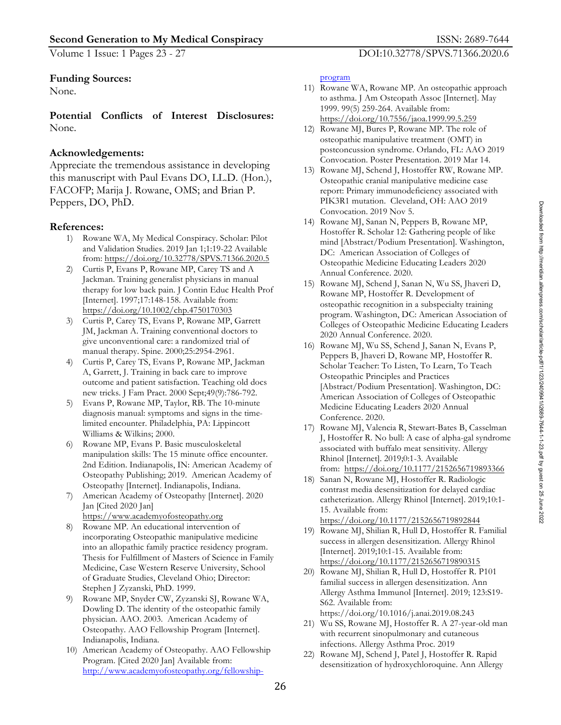Volume 1 Issue: 1 Pages 23 - 27 DOI:10.32778/SPVS.71366.2020.6

#### **Funding Sources:**

None.

**Potential Conflicts of Interest Disclosures:**  None.

#### **Acknowledgements:**

Appreciate the tremendous assistance in developing this manuscript with Paul Evans DO, LL.D. (Hon.), FACOFP; Marija J. Rowane, OMS; and Brian P. Peppers, DO, PhD.

#### **References:**

- 1) Rowane WA, My Medical Conspiracy. Scholar: Pilot and Validation Studies. 2019 Jan 1;1:19-22 Available from: https://doi.org/10.32778/SPVS.71366.2020.5
- 2) Curtis P, Evans P, Rowane MP, Carey TS and A Jackman. Training generalist physicians in manual therapy for low back pain. J Contin Educ Health Prof [Internet]. 1997;17:148-158. Available from: https://doi.org/10.1002/chp.4750170303
- 3) Curtis P, Carey TS, Evans P, Rowane MP, Garrett JM, Jackman A. Training conventional doctors to give unconventional care: a randomized trial of manual therapy. Spine. 2000;25:2954-2961.
- 4) Curtis P, Carey TS, Evans P, Rowane MP, Jackman A, Garrett, J. Training in back care to improve outcome and patient satisfaction. Teaching old docs new tricks. J Fam Pract. 2000 Sept;49(9):786-792.
- 5) Evans P, Rowane MP, Taylor, RB. The 10-minute diagnosis manual: symptoms and signs in the timelimited encounter. Philadelphia, PA: Lippincott Williams & Wilkins; 2000.
- 6) Rowane MP, Evans P. Basic musculoskeletal manipulation skills: The 15 minute office encounter. 2nd Edition. Indianapolis, IN: American Academy of Osteopathy Publishing; 2019. American Academy of Osteopathy [Internet]. Indianapolis, Indiana.
- 7) American Academy of Osteopathy [Internet]. 2020 Jan [Cited 2020 Jan] https://www.academyofosteopathy.org
- Rowane MP. An educational intervention of incorporating Osteopathic manipulative medicine into an allopathic family practice residency program. Thesis for Fulfillment of Masters of Science in Family Medicine, Case Western Reserve University, School of Graduate Studies, Cleveland Ohio; Director: Stephen J Zyzanski, PhD. 1999.
- 9) Rowane MP, Snyder CW, Zyzanski SJ, Rowane WA, Dowling D. The identity of the osteopathic family physician. AAO. 2003. American Academy of Osteopathy. AAO Fellowship Program [Internet]. Indianapolis, Indiana.
- 10) American Academy of Osteopathy. AAO Fellowship Program. [Cited 2020 Jan] Available from: http://www.academyofosteopathy.org/fellowship-

#### program

- 11) Rowane WA, Rowane MP. An osteopathic approach to asthma. J Am Osteopath Assoc [Internet]. May 1999. 99(5) 259-264. Available from: https://doi.org/10.7556/jaoa.1999.99.5.259
- 12) Rowane MJ, Bures P, Rowane MP. The role of osteopathic manipulative treatment (OMT) in postconcussion syndrome. Orlando, FL: AAO 2019 Convocation. Poster Presentation. 2019 Mar 14.
- 13) Rowane MJ, Schend J, Hostoffer RW, Rowane MP. Osteopathic cranial manipulative medicine case report: Primary immunodeficiency associated with PIK3R1 mutation. Cleveland, OH: AAO 2019 Convocation. 2019 Nov 5.
- 14) Rowane MJ, Sanan N, Peppers B, Rowane MP, Hostoffer R. Scholar 12: Gathering people of like mind [Abstract/Podium Presentation]. Washington, DC: American Association of Colleges of Osteopathic Medicine Educating Leaders 2020 Annual Conference. 2020.
- 15) Rowane MJ, Schend J, Sanan N, Wu SS, Jhaveri D, Rowane MP, Hostoffer R. Development of osteopathic recognition in a subspecialty training program. Washington, DC: American Association of Colleges of Osteopathic Medicine Educating Leaders 2020 Annual Conference. 2020.
- 16) Rowane MJ, Wu SS, Schend J, Sanan N, Evans P, Peppers B, Jhaveri D, Rowane MP, Hostoffer R. Scholar Teacher: To Listen, To Learn, To Teach Osteopathic Principles and Practices [Abstract/Podium Presentation]. Washington, DC: American Association of Colleges of Osteopathic Medicine Educating Leaders 2020 Annual Conference. 2020.
- 17) Rowane MJ, Valencia R, Stewart-Bates B, Casselman J, Hostoffer R. No bull: A case of alpha-gal syndrome associated with buffalo meat sensitivity. Allergy Rhinol [Internet]. 2019;0:1-3. Available from: https://doi.org/10.1177/2152656719893366
- 18) Sanan N, Rowane MJ, Hostoffer R. Radiologic contrast media desensitization for delayed cardiac catheterization. Allergy Rhinol [Internet]. 2019;10:1- 15. Available from: https://doi.org/10.1177/2152656719892844

19) Rowane MJ, Shilian R, Hull D, Hostoffer R. Familial success in allergen desensitization. Allergy Rhinol [Internet]. 2019;10:1-15. Available from: https://doi.org/10.1177/2152656719890315

20) Rowane MJ, Shilian R, Hull D, Hostoffer R. P101 familial success in allergen desensitization. Ann Allergy Asthma Immunol [Internet]. 2019; 123:S19- S62. Available from: https://doi.org/10.1016/j.anai.2019.08.243

21) Wu SS, Rowane MJ, Hostoffer R. A 27-year-old man with recurrent sinopulmonary and cutaneous infections. Allergy Asthma Proc. 2019

22) Rowane MJ, Schend J, Patel J, Hostoffer R. Rapid desensitization of hydroxychloroquine. Ann Allergy